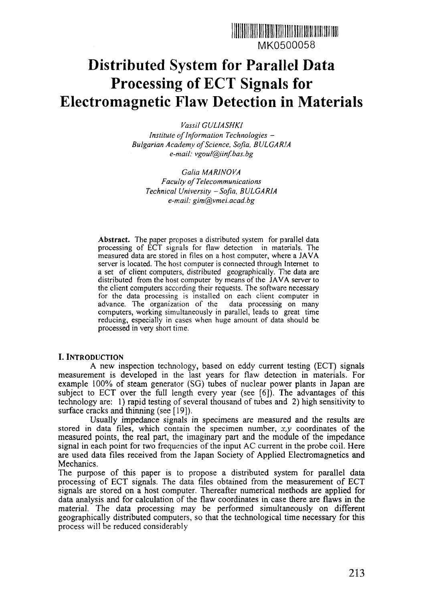

## **Distributed System for Parallel Data Processing of ECT Signals for Electromagnetic Flaw Detection in Materials**

*Vassil GULIASHKl Institute of Information Technologies - Bulgarian Academy of Science, Sofia, BULGARIA*

*e-mail: vgoul@iinf.bas.bg*

*Galia MAR]NOVA Faculty of Telecommunications Technical University -Sofia, BULGARIA e-mail: gim@vmei.acad.bg*

**Abstract.** The paper proposes a distributed system for parallel data processing of ECT signals for flaw detection in materials. The measured data are stored in files on a host computer, where a JAVA server is located. The host computer is connected through Internet to a set of client computers, distributed geographically. The data are distributed from the host computer by means of the JAVA server to the client computers according their requests. The software necessary for the data processing is installed on each client computer in advance. The organization of the data processing on many computers, working simultaneously in parallel, leads to great time reducing, especially in cases when huge amount of data should be processed in very short time.

### I. INTRODUCTION

A new inspection technology, based on eddy current testing (ECT) signals measurement is developed in the last years for flaw detection in materials. For example 100% of steam generator (SG) tubes of nuclear power plants in Japan are subject to ECT over the full length every year (see [6]). The advantages of this technology are: 1) rapid testing of several thousand of tubes and 2) high sensitivity to surface cracks and thinning (see [19]).

Usually impedance signals in specimens are measured and the results are stored in data files, which contain the specimen number, *x,y* coordinates of the measured points, the real part, the imaginary part and the module of the impedance signal in each point for two frequencies of the input AC current in the probe coil. Here are used data files received from the Japan Society of Applied Electromagnetics and Mechanics.

The purpose of this paper is to propose a distributed system for parallel data processing of ECT signals. The data files obtained from the measurement of ECT signals are stored on a host computer. Thereafter numerical methods are applied for data analysis and for calculation of the flaw coordinates in case there are flaws in the material. The data processing may be performed simultaneously on different geographically distributed computers, so that the technological time necessary for this process will be reduced considerably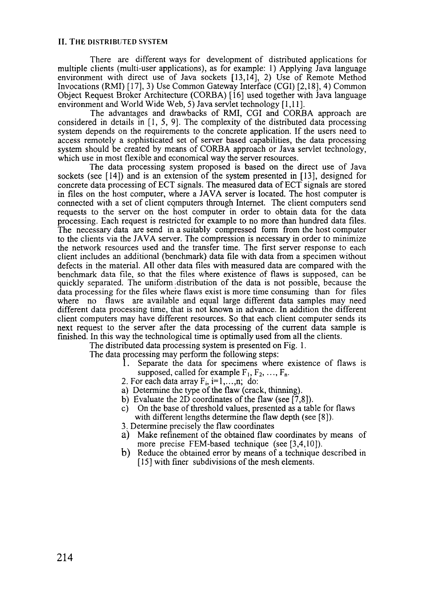There are different ways for development of distributed applications for multiple clients (multi-user applications), as for example: 1) Applying Java language environment with direct use of Java sockets [13,14], 2) Use of Remote Method Invocations (RMI) [17], 3) Use Common Gateway Interface (CGI) [2,18], 4) Common Object Request Broker Architecture (CORBA) [16] used together with Java language environment and World Wide Web, 5) Java servlet technology [1,11].

The advantages and drawbacks of RMI, CGI and CORBA approach are considered in details in [1, 5, 9]. The complexity of the distributed data processing system depends on the requirements to the concrete application. If the users need to access remotely a sophisticated set of server based capabilities, the data processing system should be created by means of CORBA approach or Java servlet technology, which use in most flexible and economical way the server resources.

The data processing system proposed is based on the direct use of Java sockets (see [14]) and is an extension of the system presented in [13], designed for concrete data processing of ECT signals. The measured data of ECT signals are stored in files on the host computer, where a JAVA server is located. The host computer is connected with a set of client computers through Internet. The client computers send requests to the server on the host computer in order to obtain data for the data processing. Each request is restricted for example to no more than hundred data files. The necessary data are send in a suitably compressed form from the host computer to the clients via the JAVA server. The compression is necessary in order to minimize the network resources used and the transfer time. The first server response to each client includes an additional (benchmark) data file with data from a specimen without defects in the material. All other data files with measured data are compared with the benchmark data file, so that the files where existence of flaws is supposed, can be quickly separated. The uniform.distribution of the data is not possible, because the data processing for the files where flaws exist is more time consuming than for files where no flaws are available and equal large different data samples may need different data processing time, that is not known in advance. In addition the different client computers may have different resources. So that each client computer sends its next request to the server after the data processing of the current data sample is finished. In this way the technological time is optimally used from all the clients.

The distributed data processing system is presented on Fig. 1.

The data processing may perform the following steps:

- Separate the data for specimens where existence of flaws is supposed, called for example  $F_1, F_2, ..., F_n$ .
- 2. For each data array  $F_i$ , i=1,...,n; do:
- a) Determine the type of the flaw (crack, thinning).
- b) Evaluate the 2D coordinates of the flaw (see [7,8]).
- c) On the base of threshold values, presented as a table for flaws with different lengths determine the flaw depth (see [8]).
- 3. Determine precisely the flaw coordinates
- a) Make refinement of the obtained flaw coordinates by means of more precise FEM-based technique (see [3,4,10]).
- b) Reduce the obtained error by means of a technique described in [15] with finer subdivisions of the mesh elements.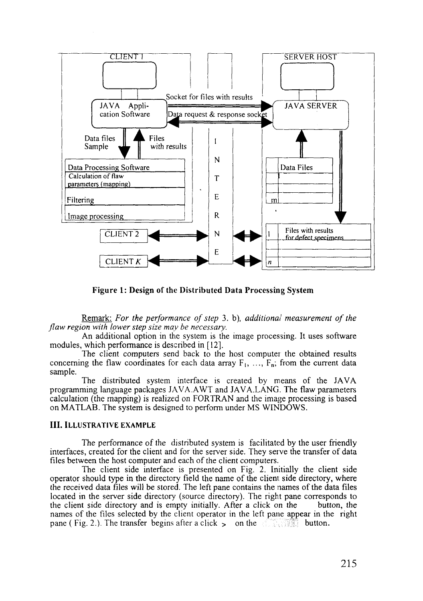

**Figure 1: Design of the Distributed Data Processing System**

Remark: *For the performance of step* 3. b), *additional measurement of the flaw region with lower step size may be necessary.*

An additional option in the system is the image processing. It uses software modules, which performance is described in [12].

The client computers send back to the host computer the obtained results concerning the flaw coordinates for each data array  $F_1$ , ...,  $F_n$ ; from the current data sample.

The distributed system interface is created by means of the JAVA programming language packages JAVA.AWT and JAVA.LANG. The flaw parameters calculation (the mapping) is realized on FORTRAN and the image processing is based on MATLAB. The system is designed to perform under MS WINDOWS.

#### III. ILLUSTRATIVE EXAMPLE

The performance of the distributed system is facilitated by the user friendly interfaces, created for the client and for the server side. They serve the transfer of data files between the host computer and each of the client computers.

The client side interface is presented on Fig. 2. Initially the client side operator should type in the directory field the name of the client side directory, where the received data files will be stored. The left pane contains the names of the data files located in the server side directory (source directory). The right pane corresponds to the client side directory and is empty initially. After a click on the button, the names of the files selected by the client operator in the left pane appear in the right pane ( Fig. 2.). The transfer begins after a click  $\geq$  on the button.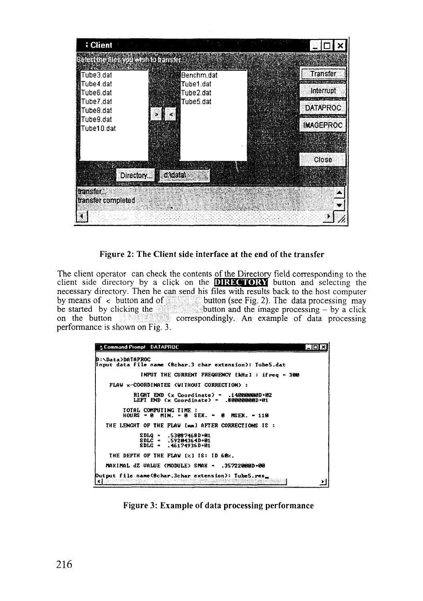

Figure 2: The Client side interface at the end of the transfer

The client operator can check the contents of the Directory field corresponding to the client side directory by a click on the **DIRECTORY** button and selecting the necessary directory. Then he can send his files with results back to the host computer by means of  $\left\langle \right\rangle$  button and of button (see Fig. 2). The data processing may be started by clicking the started by clicking the started by clicking the started by clicking the correspondingly. An example of data processing performance is shown on Fig. 3.

| <b>A Command Prompt DATAPROC</b>                                                                        |  |
|---------------------------------------------------------------------------------------------------------|--|
| <b>D:\Data&gt;DATAPROC</b><br>(Input data file name (Bchar.3 char extension): Tube5.dat                 |  |
| INPUT THE CURRENT FREQUENCY [kHz] : ifreq = 300                                                         |  |
| <b>FLAW x-COORDINATES CUITHOUT CORRECTION&gt; :</b>                                                     |  |
| $R1GHT$ END $\langle x \rangle$ Coordinate) = .14000000D+02<br>LEFT END (x Coordinate) = .8000000000+01 |  |
| TOTAL COMPUTING TIME:<br>HOURS = $\theta$ MIN. = $\theta$ SEX. = $\theta$ MSEX. = 110                   |  |
| THE LENGHT OF THE FLAW [mm] AFTER CORRECTIONS IS:                                                       |  |
| $SDLQ = .53007468D + 01$<br>$SDLC = .59204364D+01$<br>$SDLG = .46174936D + 01$                          |  |
| THE DEPTH OF THE FLAV [x] IS: ID 60x.                                                                   |  |
| MAXIMAL dZ VALUE (MODULE) SMAX - .357220000-00                                                          |  |
| Dutput file name(8char.3char extension): Tube5.res_                                                     |  |

Figure 3: Example of data processing performance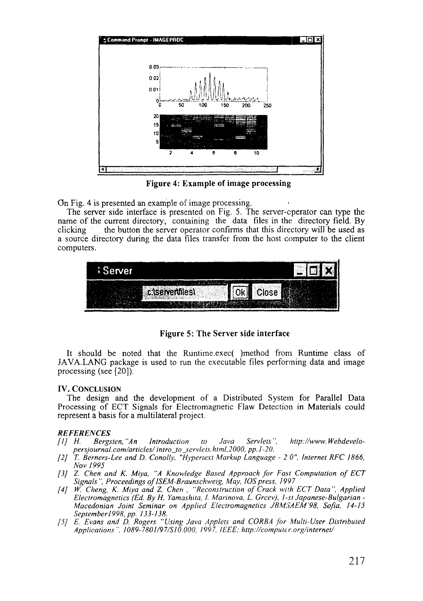

**Figure 4: Example of image processing**

On Fig. 4 is presented an example of image processing.

The server side interface is presented on Fig. 5. The server-operator can type the name of the current directory, containing the data files in the directory field. By clicking  $\sim$  the button the server operator confirms that this directory will be used as a source directory during the data files transfer from the host computer to the client computers.



**Figure 5: The Server side interface**

It should be noted that the Runtime.exec( )method from Runtime class of JAVA.LANG package is used to run the executable files performing data and image processing (see [20]).

### **IV. CONCLUSION**

The design and **the** development of a Distributed System for Parallel Data Processing of ECT Signals for Electromagnetic Flaw Detection in Materials could represent a basis for a multilateral project.

- *REFERENCES*<br>[1] H. Bergsten, "An Introduction to Java Servlets", http://www.Webdevelo*persjournal.com/articles/ intro\_to\_servlets.html,2000, pp. 1-20.*
- *[2] T. Berners-Lee and D. Conolly, "Hypertext Markup Language 2 0", Internet RFC 1866, Nov 1995*
- *[3] Z. Chen and K. Miya, "A Knowledge Based Approach for Fast Computation of ECT* Signals", Proceedings of ISEM-Braunschweig, May, IOS press, 1997
- *[4] W. Cheng, K. Miya and Z. Chen , "Reconstruction of Crack with ECT Data", Applied Electromagnetics (Ed. By H. Yamashita, I. Marinova, L. Grcev), 1-st Japanese-Bulgarian - Macedonian Joint Seminar on Applied Electromagnetics JBMSAEM'98, Sofia, 14-15 September 1998. pp. 133-138.*
- *[5] E. Evans and D. Rogers "Using Java Applets and CORBA for Multi-User Distributed Applications", 1089-7801/97/S 10.000. 1997, IEEE; http://computer.org/internet/*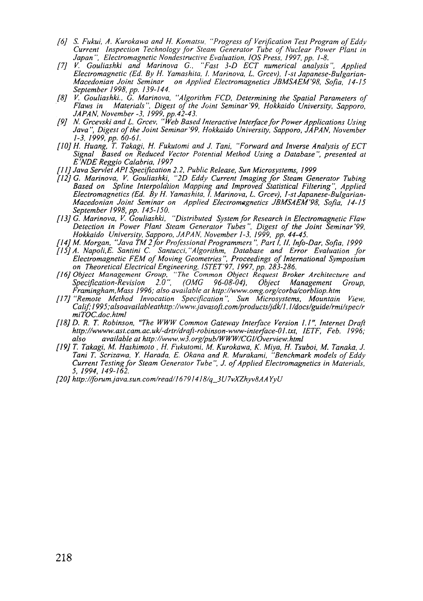- *[6] S. Fukui, A. Kurokawa and H. Komatsu, "Progress of Verification Test Program of Eddy Current Inspection Technology for Steam Generator Tube of Nuclear Power Plant in Japan", Electromagnetic Nondestructive Evaluation, IOS Press, 1997, pp. 1-8.*
- *[7] V. Gouliashki and Marinova G., "Fast 3-D ECT numerical analysis", Applied Electromagnetic (Ed. By H. Yamashita, I. Marinova, L. Grcev), 1-st Japanese-Bulgarian-Macedonian Joint Seminar on Applied Electromagnetics JBMSAEM'98, Sofia, 14-15 September 1998, pp. 139-144.*
- *[8] V. Gouliashki., G. Marinova, "Algorithm FCD, Determining the Spatial Parameters of Flaws in Materials", Digest of the Joint Seminar'99, Hokkaido University, Sapporo, JAPAN, November-3, 1999, pp.42-43.*
- *[9] N. Grcevski and L. Grcev, "Web Based Interactive Interface for Power Applications Using Java", Digest of the Joint Seminar'99, Hokkaido University, Sapporo, JAPAN, November 1-3, 1999, pp. 60-61.*
- *[10] H. Huang, T. Takagi, H. Fukutomi and J. Tani, "Forward and Inverse Analysis of ECT Signal Based on Reduced Vector Potential Method Using a Database", presented at E'NDEReggio Calabria, 1997*
- *[11] Java Servlet API Specification 2.2, Public Release, Sun Microsystems, 1999*
- *[12] G. Marinova, V. Gouliashki, "2D Eddy Current Imaging for Steam Generator Tubing Based on Spline Interpolation Mapping and Improved Statistical Filtering", Applied Electromagnetics (Ed. By H. Yamashita, I. Marinova, L. Grcev), 1-st Japanese-Bulgarian-Macedonian Joint Seminar on Applied Electromagnetics JBMSAEM'98, Sofia, 14-15 September 1998, pp. 145-150.*
- *[13] G. Marinova, V. Gouliashki, "Distributed System for Research in Electromagnetic Flaw Detection in Power Plant Steam Generator Tubes". Digest of the Joint Seminar '99, Hokkaido University, Sapporo, JAPAN, November 1-3, 1999, pp. 44-45.*
- *[14] M. Morgan, "Java TM 2 for Professional Programmers ", Part I, If, Info-Dar, Sofia, 1999*
- *[15] A. Napoli.E. Santini C. Santucci,"Algorithm, Database and Error Evaluation for Electromagnetic FEM of Moving Geometries", Proceedings of International Symposium on Theoretical Electrical Engineering, ISTET'97, 1997, pp. 283-286.*
- *[16] Object Management Group, "The Common Object Request Broker Architecture and Specification-Revision 2.0", (OMG 96-08-04), Object Management Group, Framingham.Mass 1996; also available at http://www.omg.org/corba/corbliop.htm*
- *[17] "Remote Method Invocation Specification", Sun Microsystems, Mountain View, Calif;I995;alsoavaiIableathttp://www.javasoft.com/products/jdk/l.I/docs/guide/rmi/spec/r miTOC.doc.html*
- *[18] D. R. T. Robinson, "The WWW Common Gateway Interface Version I.I", Internet Draft http://wwww.ast.cam.ac.uk/-drtr/draft-robinson-www-interface-01.txt, IETF, Feb. 1996; also available at http://www.w3.org/pub/WWW/CGI/0verview.html*
- *[19] T. Takagi, M. Hashimoto , H. Fukutomi, M. Kurokawa, K. Miya, H. Tsuboi, M. Tanaka, J. Tani T. Scrizawa, Y. Harada, E. Okana and R. Murakami, "Benchmark models of Eddy Current Testing for Steam Generator Tube", J. of Applied Electromagnetics in Materials, 5, 1994, 149-162.*
- *[20] http://forum.java.sun.com/read/1679l418/q\_3U7vXZhyv8AA YyU*